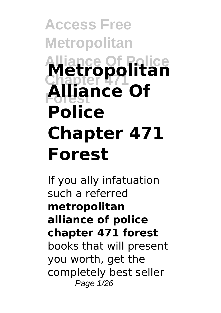# **Access Free Metropolitan Alliance Of Police Metropolitan Chapter 471 Forest Alliance Of Police Chapter 471 Forest**

If you ally infatuation such a referred **metropolitan alliance of police chapter 471 forest** books that will present you worth, get the completely best seller Page 1/26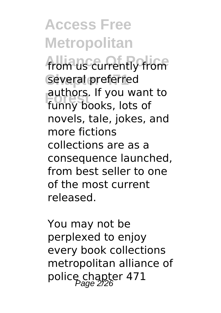**Access Free Metropolitan** from us currently from several preferred **Forest** funny books, lots of authors. If you want to novels, tale, jokes, and more fictions collections are as a consequence launched, from best seller to one of the most current released.

You may not be perplexed to enjoy every book collections metropolitan alliance of police chapter 471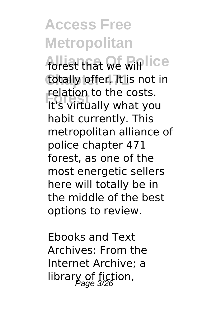# **Access Free Metropolitan**

forest that we will lice totally offer. It is not in **Forest** It's virtually what you relation to the costs. habit currently. This metropolitan alliance of police chapter 471 forest, as one of the most energetic sellers here will totally be in the middle of the best options to review.

Ebooks and Text Archives: From the Internet Archive; a library of fiction,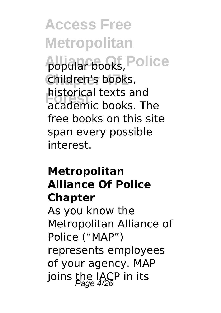**Access Free Metropolitan** popular books, Police **Chapter 471** children's books, **Forest** academic books. The historical texts and free books on this site span every possible interest.

#### **Metropolitan Alliance Of Police Chapter**

As you know the Metropolitan Alliance of Police ("MAP") represents employees of your agency. MAP joins the IACP in its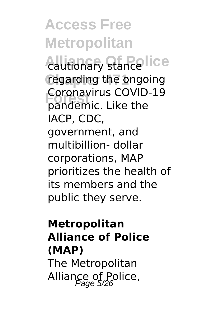**Access Free Metropolitan** *<u>Cautionary stancelice</u>* regarding the ongoing **Forest** pandemic. Like the Coronavirus COVID-19 IACP, CDC, government, and multibillion- dollar corporations, MAP prioritizes the health of its members and the public they serve.

## **Metropolitan Alliance of Police (MAP)**

The Metropolitan Alliance of Police,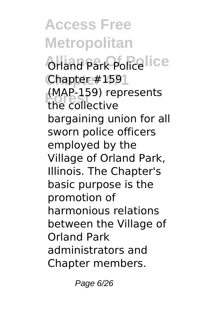**Access Free Metropolitan Orland Park Police lice Chapter 471** Chapter #159 **Forest** the collective (MAP-159) represents bargaining union for all sworn police officers employed by the Village of Orland Park, Illinois. The Chapter's basic purpose is the promotion of harmonious relations between the Village of Orland Park administrators and Chapter members.

Page 6/26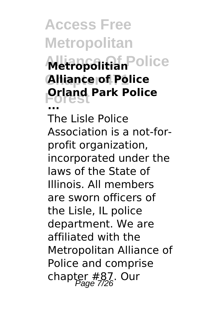**Access Free Metropolitan**

# **Metropolitian Police Chapter 471 Alliance of Police Forest Orland Park Police ...**

The Lisle Police Association is a not-forprofit organization, incorporated under the laws of the State of Illinois. All members are sworn officers of the Lisle, IL police department. We are affiliated with the Metropolitan Alliance of Police and comprise chapter  $#87.$  Our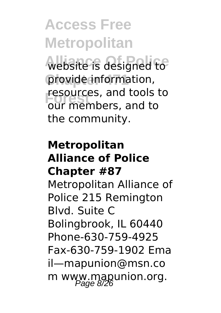**Access Free Metropolitan** website is designed to provide information, **Fesources, and tools to**<br> *<u>OUT</u>* members, and to our members, and to the community.

#### **Metropolitan Alliance of Police Chapter #87**

Metropolitan Alliance of Police 215 Remington Blvd. Suite C Bolingbrook, IL 60440 Phone‐630‐759‐4925 Fax‐630‐759‐1902 Ema il—mapunion@msn.co m www.mapunion.org.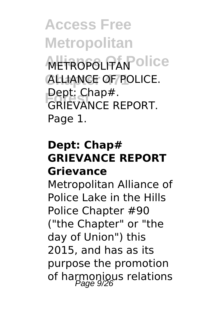**Access Free Metropolitan METROPOLITAN Olice ALLIANCE OF POLICE. Forest** GRIEVANCE REPORT. Dept: Chap#. Page 1.

### **Dept: Chap# GRIEVANCE REPORT Grievance**

Metropolitan Alliance of Police Lake in the Hills Police Chapter #90 ("the Chapter" or "the day of Union") this 2015, and has as its purpose the promotion of harmonious relations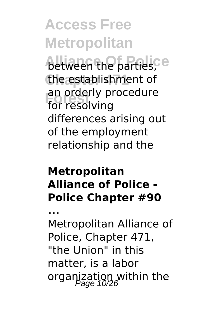**Access Free Metropolitan** between the parties,<sup>ce</sup> the establishment of **Forest** for resolving an orderly procedure differences arising out of the employment relationship and the

#### **Metropolitan Alliance of Police - Police Chapter #90**

**...**

Metropolitan Alliance of Police, Chapter 471, "the Union" in this matter, is a labor organization within the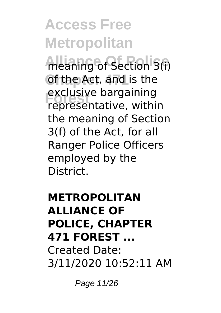# **Access Free Metropolitan**

**Meaning of Section 3(i)** of the Act, and is the exclusive bargaining<br>representative, within exclusive bargaining the meaning of Section 3(f) of the Act, for all Ranger Police Officers employed by the District.

### **METROPOLITAN ALLIANCE OF POLICE, CHAPTER 471 FOREST ...** Created Date: 3/11/2020 10:52:11 AM

Page 11/26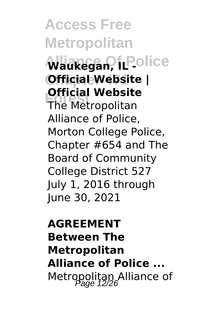**Access Free Metropolitan**  $\mathsf{W}$ aukegan, IL Police **Chapter 471 Official Website | Fortchall WebSite Official Website** Alliance of Police, Morton College Police, Chapter #654 and The Board of Community College District 527 July 1, 2016 through June 30, 2021

## **AGREEMENT Between The Metropolitan Alliance of Police ...** Metropolitan Alliance of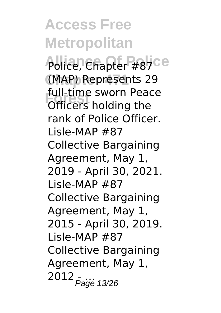**Access Free Metropolitan** Police, Chapter #87Ce **Chapter 471** (MAP) Represents 29 **Forest** Officers holding the full-time sworn Peace rank of Police Officer. Lisle-MAP #87 Collective Bargaining Agreement, May 1, 2019 - April 30, 2021. Lisle-MAP #87 Collective Bargaining Agreement, May 1, 2015 - April 30, 2019. Lisle-MAP #87 Collective Bargaining Agreement, May 1,  $2012$   $_{Pajge}$  13/26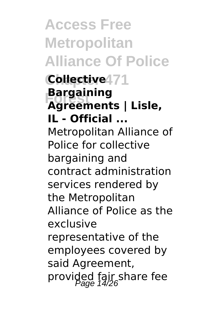**Access Free Metropolitan Alliance Of Police Chapter 471 Collective Forest Agreements | Lisle, Bargaining IL - Official ...** Metropolitan Alliance of Police for collective bargaining and contract administration services rendered by the Metropolitan Alliance of Police as the exclusive representative of the employees covered by said Agreement, provided fair share fee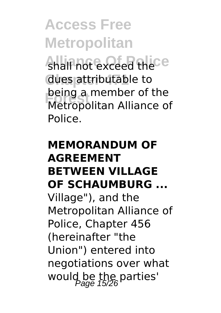**Access Free Metropolitan** shall not exceed thece **Chapter 471** dues attributable to **Forest** Metropolitan Alliance of being a member of the Police.

## **MEMORANDUM OF AGREEMENT BETWEEN VILLAGE OF SCHAUMBURG ...** Village"), and the Metropolitan Alliance of Police, Chapter 456 (hereinafter "the Union") entered into negotiations over what would be the parties'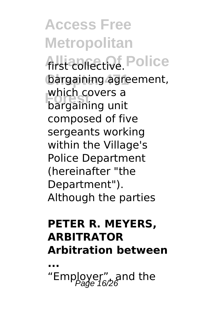**Access Free Metropolitan** first collective. Police bargaining agreement, **Forest** bargaining unit which covers a composed of five sergeants working within the Village's Police Department (hereinafter "the Department"). Although the parties

### **PETER R. MEYERS, ARBITRATOR Arbitration between**

**...** "Employer", and the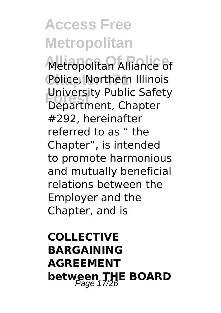# **Access Free Metropolitan**

Metropolitan Alliance of Police, Northern Illinois **University Public Safety**<br>
Department Chapter Department, Chapter #292, hereinafter referred to as " the Chapter", is intended to promote harmonious and mutually beneficial relations between the Employer and the Chapter, and is

# **COLLECTIVE BARGAINING AGREEMENT between THE BOARD**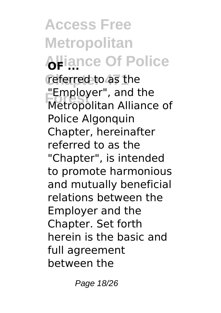**Access Free Metropolitan Alliance Of Police** referred to as the **Employer**, and the<br>Metropolitan Alliance of "Employer", and the Police Algonquin Chapter, hereinafter referred to as the "Chapter", is intended to promote harmonious and mutually beneficial relations between the Employer and the Chapter. Set forth herein is the basic and full agreement between the

Page 18/26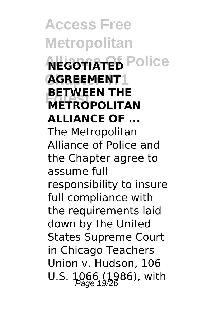**Access Free Metropolitan ALGOTIATED** Police **Chapter 471 AGREEMENT FLIVEEN INE BETWEEN THE ALLIANCE OF ...** The Metropolitan Alliance of Police and the Chapter agree to assume full responsibility to insure full compliance with the requirements laid down by the United States Supreme Court in Chicago Teachers Union v. Hudson, 106 U.S. 1066 (1986), with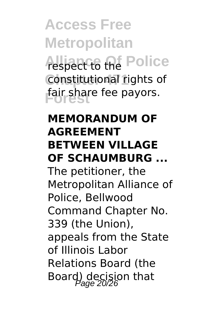**Access Free Metropolitan Alliance** of Police **Constitutional rights of Forest** fair share fee payors.

### **MEMORANDUM OF AGREEMENT BETWEEN VILLAGE OF SCHAUMBURG ...**

The petitioner, the Metropolitan Alliance of Police, Bellwood Command Chapter No. 339 (the Union), appeals from the State of Illinois Labor Relations Board (the Board) decision that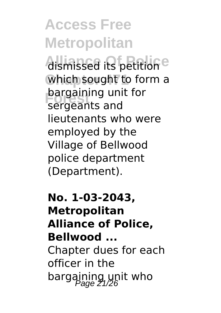**Access Free Metropolitan Alsmissed its petitione** which sought to form a **bargaining unit for** sergeants and lieutenants who were employed by the

Village of Bellwood police department (Department).

**No. 1-03-2043, Metropolitan Alliance of Police, Bellwood ...** Chapter dues for each officer in the bargaining unit who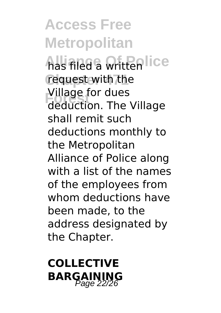**Access Free Metropolitan** has filed a writtenlice request with the **Formage for dues**<br>deduction. The Village Village for dues shall remit such deductions monthly to the Metropolitan Alliance of Police along with a list of the names of the employees from whom deductions have been made, to the address designated by the Chapter.

**COLLECTIVE BARGAINING**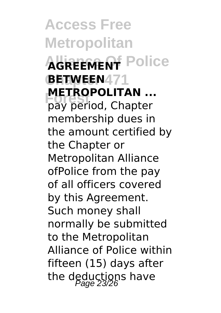**Access Free Metropolitan AGREEMENT** Police **Chapter 471 BETWEEN FORT RUPOLITAN** ...<br>pay period, Chapter **METROPOLITAN ...** membership dues in the amount certified by the Chapter or Metropolitan Alliance ofPolice from the pay of all officers covered by this Agreement. Such money shall normally be submitted to the Metropolitan Alliance of Police within fifteen (15) days after the deductions have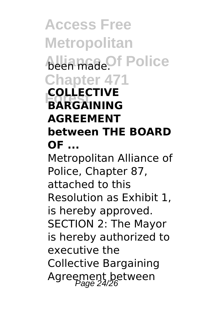**Access Free Metropolitan Allia madeOf Police Chapter 471 Forest BARGAINING COLLECTIVE AGREEMENT between THE BOARD OF ...**

Metropolitan Alliance of Police, Chapter 87, attached to this Resolution as Exhibit 1, is hereby approved. SECTION 2: The Mayor is hereby authorized to executive the Collective Bargaining Agreement between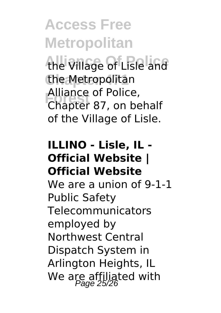**Access Free Metropolitan** the Village of Lisle and **Chapter 471** the Metropolitan **Forest** Chapter 87, on behalf Alliance of Police, of the Village of Lisle.

#### **ILLINO - Lisle, IL - Official Website | Official Website**

We are a union of 9-1-1 Public Safety Telecommunicators employed by Northwest Central Dispatch System in Arlington Heights, IL We are affiliated with  $P_{\text{Page 25/26}}$